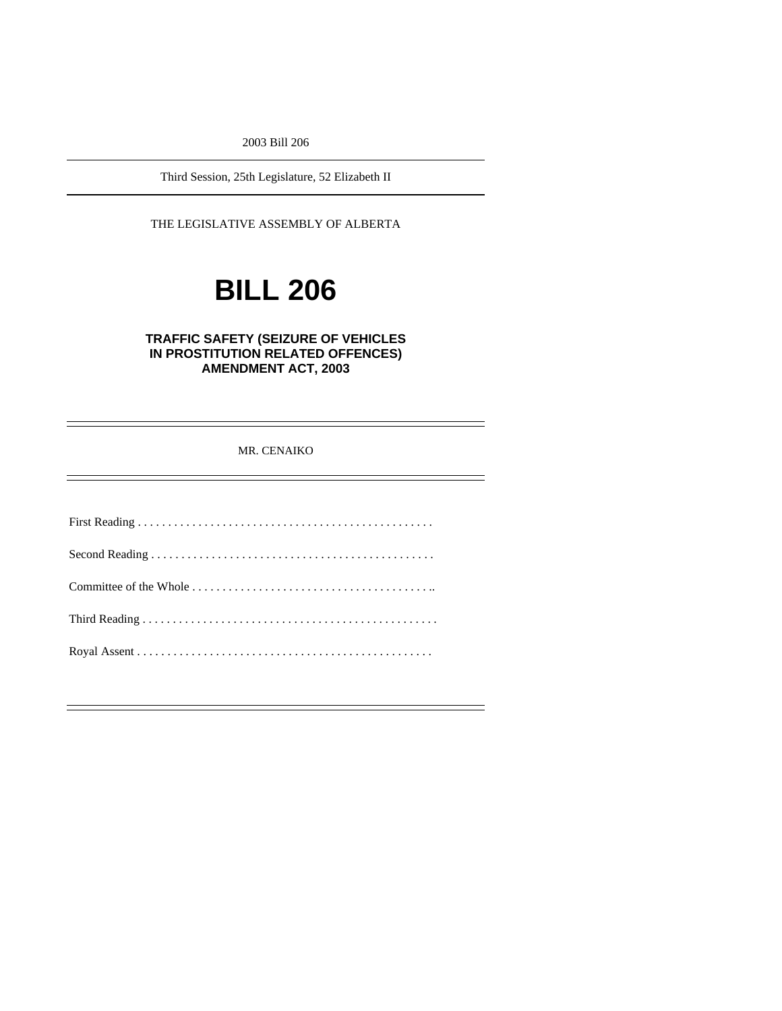2003 Bill 206

Third Session, 25th Legislature, 52 Elizabeth II

THE LEGISLATIVE ASSEMBLY OF ALBERTA

# **BILL 206**

# **TRAFFIC SAFETY (SEIZURE OF VEHICLES IN PROSTITUTION RELATED OFFENCES) AMENDMENT ACT, 2003**

# MR. CENAIKO

First Reading . . . . . . . . . . . . . . . . . . . . . . . . . . . . . . . . . . . . . . . . . . . . . . . . . Second Reading . . . . . . . . . . . . . . . . . . . . . . . . . . . . . . . . . . . . . . . . . . . . . . . Committee of the Whole . . . . . . . . . . . . . . . . . . . . . . . . . . . . . . . . . . . . . . . .. Third Reading . . . . . . . . . . . . . . . . . . . . . . . . . . . . . . . . . . . . . . . . . . . . . . . . . Royal Assent . . . . . . . . . . . . . . . . . . . . . . . . . . . . . . . . . . . . . . . . . . . . . . . . .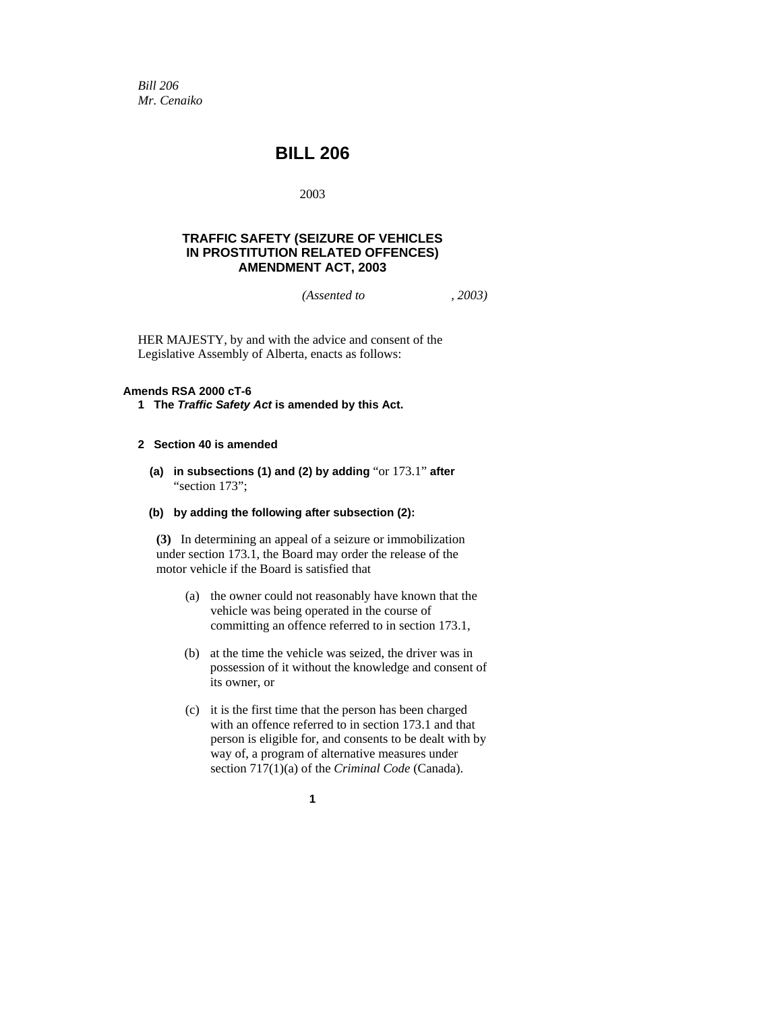*Bill 206 Mr. Cenaiko* 

# **BILL 206**

2003

# **TRAFFIC SAFETY (SEIZURE OF VEHICLES IN PROSTITUTION RELATED OFFENCES) AMENDMENT ACT, 2003**

*(Assented to , 2003)* 

HER MAJESTY, by and with the advice and consent of the Legislative Assembly of Alberta, enacts as follows:

#### **Amends RSA 2000 cT-6**

**1 The** *Traffic Safety Act* **is amended by this Act.** 

### **2 Section 40 is amended**

- **(a) in subsections (1) and (2) by adding** "or 173.1" **after**  "section 173";
- **(b) by adding the following after subsection (2):**

**(3)** In determining an appeal of a seizure or immobilization under section 173.1, the Board may order the release of the motor vehicle if the Board is satisfied that

- (a) the owner could not reasonably have known that the vehicle was being operated in the course of committing an offence referred to in section 173.1,
- (b) at the time the vehicle was seized, the driver was in possession of it without the knowledge and consent of its owner, or
- (c) it is the first time that the person has been charged with an offence referred to in section 173.1 and that person is eligible for, and consents to be dealt with by way of, a program of alternative measures under section 717(1)(a) of the *Criminal Code* (Canada).
	- **1**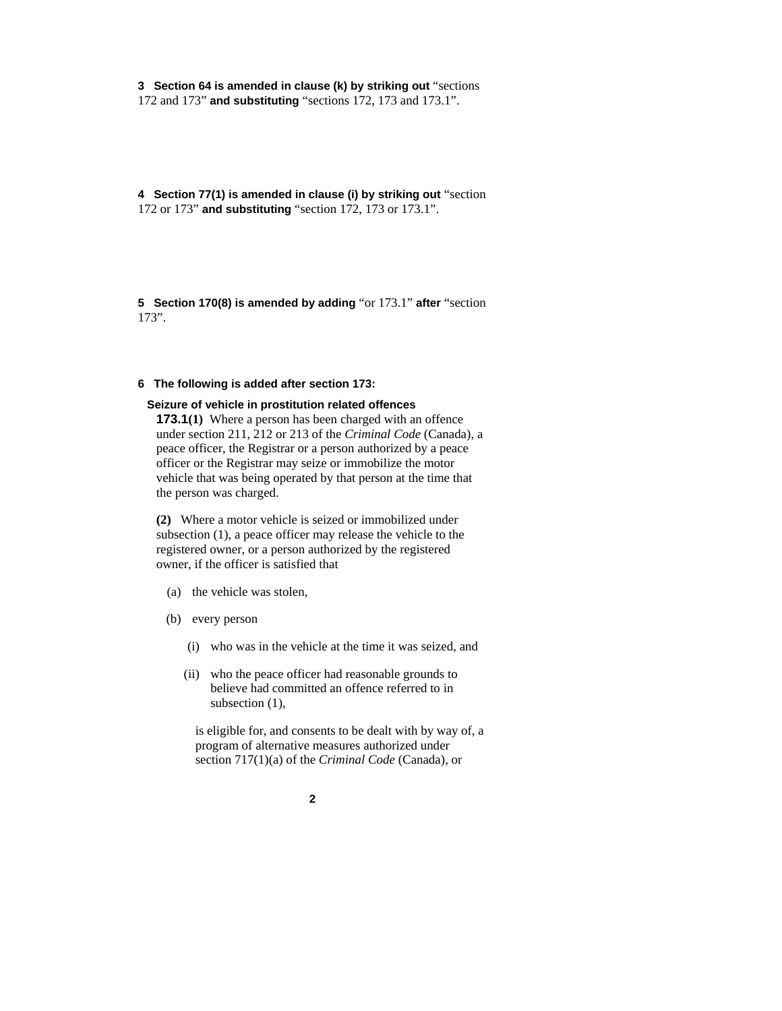**3 Section 64 is amended in clause (k) by striking out** "sections 172 and 173" **and substituting** "sections 172, 173 and 173.1".

**4 Section 77(1) is amended in clause (i) by striking out** "section 172 or 173" **and substituting** "section 172, 173 or 173.1".

**5 Section 170(8) is amended by adding** "or 173.1" **after** "section 173".

# **6 The following is added after section 173:**

#### **Seizure of vehicle in prostitution related offences**

**173.1(1)** Where a person has been charged with an offence under section 211, 212 or 213 of the *Criminal Code* (Canada), a peace officer, the Registrar or a person authorized by a peace officer or the Registrar may seize or immobilize the motor vehicle that was being operated by that person at the time that the person was charged.

**(2)** Where a motor vehicle is seized or immobilized under subsection (1), a peace officer may release the vehicle to the registered owner, or a person authorized by the registered owner, if the officer is satisfied that

- (a) the vehicle was stolen,
- (b) every person
	- (i) who was in the vehicle at the time it was seized, and
	- (ii) who the peace officer had reasonable grounds to believe had committed an offence referred to in subsection (1),

is eligible for, and consents to be dealt with by way of, a program of alternative measures authorized under section 717(1)(a) of the *Criminal Code* (Canada), or

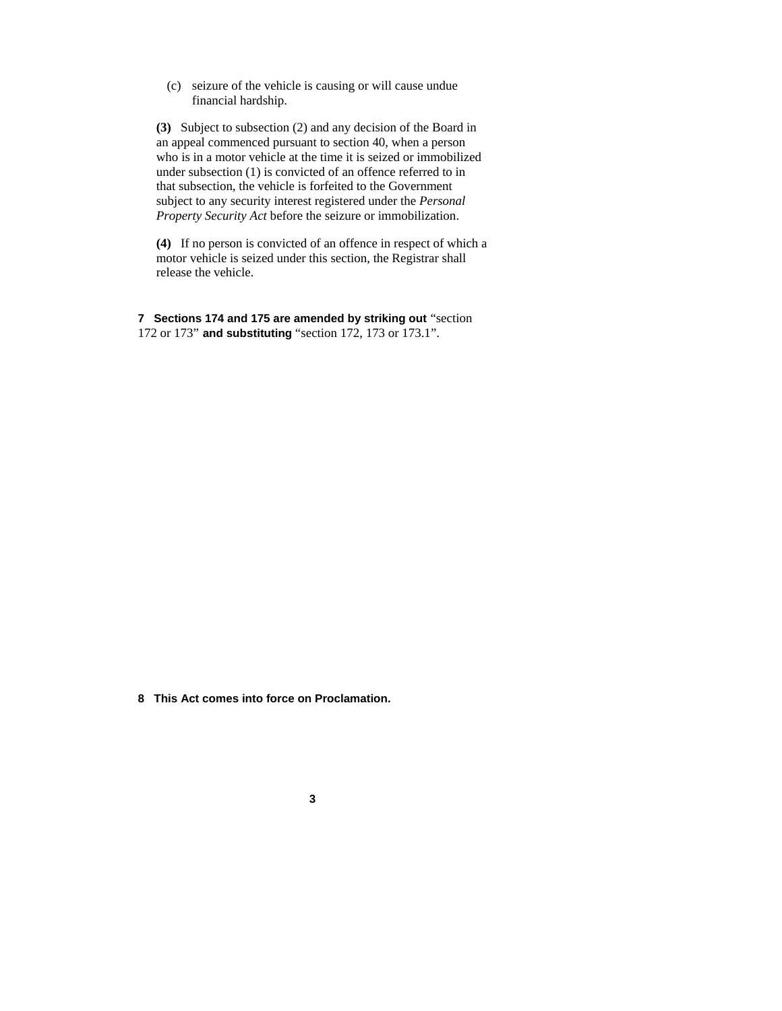(c) seizure of the vehicle is causing or will cause undue financial hardship.

**(3)** Subject to subsection (2) and any decision of the Board in an appeal commenced pursuant to section 40, when a person who is in a motor vehicle at the time it is seized or immobilized under subsection (1) is convicted of an offence referred to in that subsection, the vehicle is forfeited to the Government subject to any security interest registered under the *Personal Property Security Act* before the seizure or immobilization.

**(4)** If no person is convicted of an offence in respect of which a motor vehicle is seized under this section, the Registrar shall release the vehicle.

**7 Sections 174 and 175 are amended by striking out** "section 172 or 173" **and substituting** "section 172, 173 or 173.1".

**8 This Act comes into force on Proclamation.**

**3**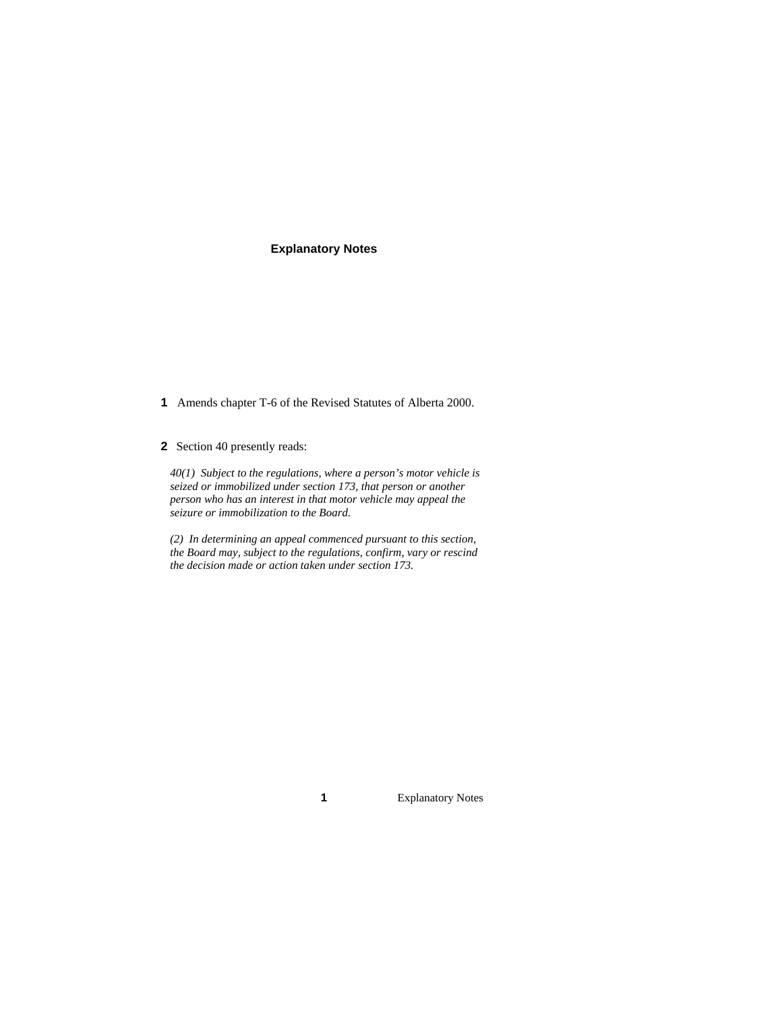# **Explanatory Notes**

- **1** Amends chapter T-6 of the Revised Statutes of Alberta 2000.
- **2** Section 40 presently reads:

*40(1) Subject to the regulations, where a person's motor vehicle is seized or immobilized under section 173, that person or another person who has an interest in that motor vehicle may appeal the seizure or immobilization to the Board.* 

*(2) In determining an appeal commenced pursuant to this section, the Board may, subject to the regulations, confirm, vary or rescind the decision made or action taken under section 173.* 

**1** Explanatory Notes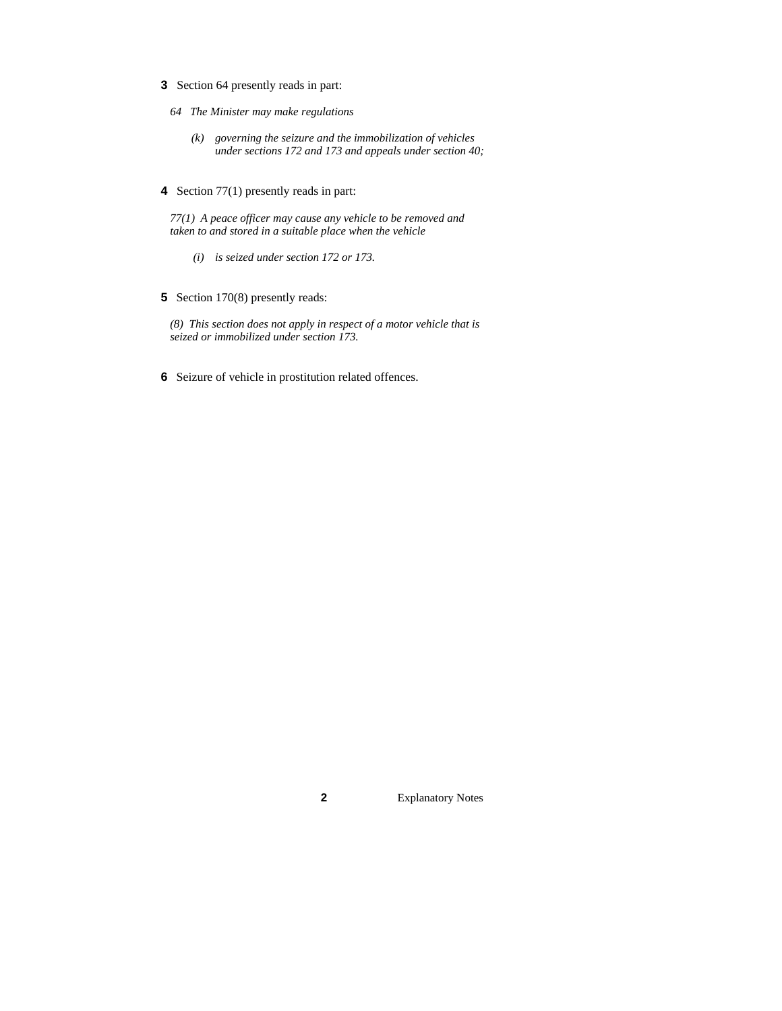- **3** Section 64 presently reads in part:
	- *64 The Minister may make regulations* 
		- *(k) governing the seizure and the immobilization of vehicles under sections 172 and 173 and appeals under section 40;*
- **4** Section 77(1) presently reads in part:

*77(1) A peace officer may cause any vehicle to be removed and taken to and stored in a suitable place when the vehicle* 

- *(i) is seized under section 172 or 173.*
- **5** Section 170(8) presently reads:

*(8) This section does not apply in respect of a motor vehicle that is seized or immobilized under section 173.* 

**6** Seizure of vehicle in prostitution related offences.

**2** Explanatory Notes